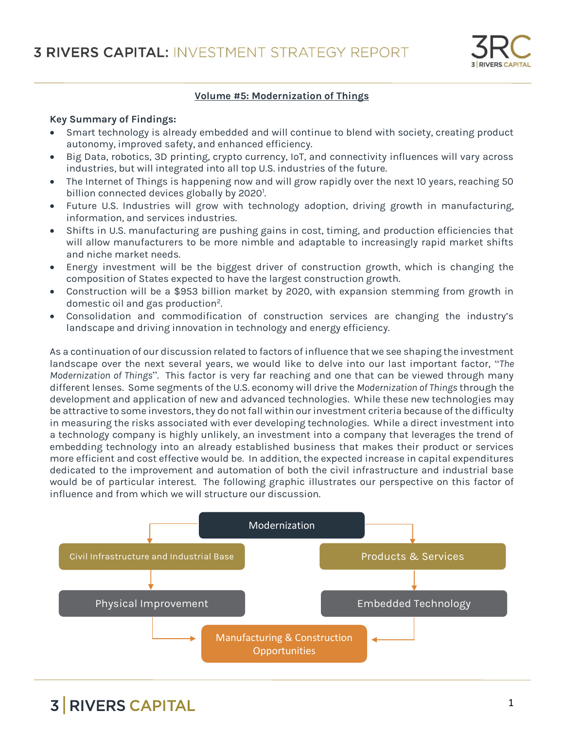

#### **Volume #5: Modernization of Things**

#### **Key Summary of Findings:**

- Smart technology is already embedded and will continue to blend with society, creating product autonomy, improved safety, and enhanced efficiency.
- Big Data, robotics, 3D printing, crypto currency, IoT, and connectivity influences will vary across industries, but will integrated into all top U.S. industries of the future.
- The Internet of Things is happening now and will grow rapidly over the next 10 years, reaching 50 billion connected devices globally by 2020<sup>1</sup>. .
- Future U.S. Industries will grow with technology adoption, driving growth in manufacturing, information, and services industries.
- Shifts in U.S. manufacturing are pushing gains in cost, timing, and production efficiencies that will allow manufacturers to be more nimble and adaptable to increasingly rapid market shifts and niche market needs.
- Energy investment will be the biggest driver of construction growth, which is changing the composition of States expected to have the largest construction growth.
- Construction will be a \$953 billion market by 2020, with expansion stemming from growth in domestic oil and gas production<sup>2</sup>. .
- Consolidation and commodification of construction services are changing the industry's landscape and driving innovation in technology and energy efficiency.

As a continuation of our discussion related to factors of influence that we see shaping the investment landscape over the next several years, we would like to delve into our last important factor, "*The Modernization of Things*". This factor is very far reaching and one that can be viewed through many different lenses. Some segments of the U.S. economy will drive the *Modernization of Things* through the development and application of new and advanced technologies. While these new technologies may be attractive to some investors, they do not fall within our investment criteria because of the difficulty in measuring the risks associated with ever developing technologies. While a direct investment into a technology company is highly unlikely, an investment into a company that leverages the trend of embedding technology into an already established business that makes their product or services more efficient and cost effective would be. In addition, the expected increase in capital expenditures dedicated to the improvement and automation of both the civil infrastructure and industrial base would be of particular interest. The following graphic illustrates our perspective on this factor of influence and from which we will structure our discussion.

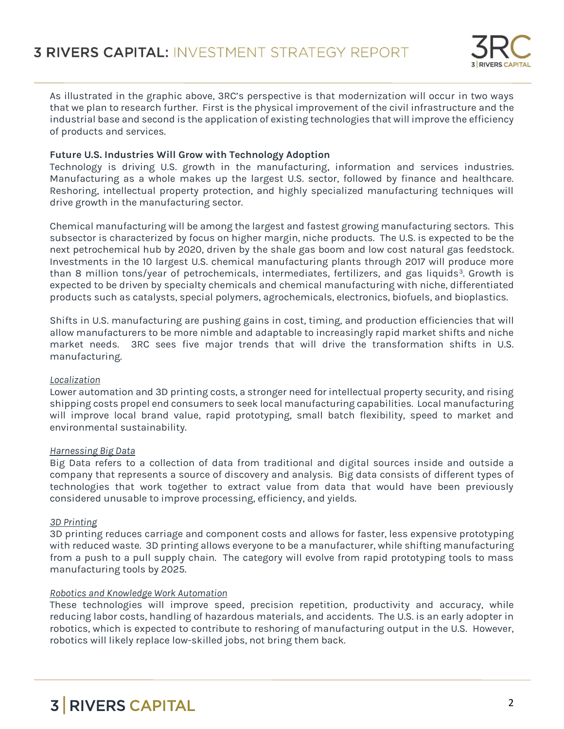

As illustrated in the graphic above, 3RC's perspective is that modernization will occur in two ways that we plan to research further. First is the physical improvement of the civil infrastructure and the industrial base and second is the application of existing technologies that will improve the efficiency of products and services.

### **Future U.S. Industries Will Grow with Technology Adoption**

Technology is driving U.S. growth in the manufacturing, information and services industries. Manufacturing as a whole makes up the largest U.S. sector, followed by finance and healthcare. Reshoring, intellectual property protection, and highly specialized manufacturing techniques will drive growth in the manufacturing sector.

Chemical manufacturing will be among the largest and fastest growing manufacturing sectors. This subsector is characterized by focus on higher margin, niche products. The U.S. is expected to be the next petrochemical hub by 2020, driven by the shale gas boom and low cost natural gas feedstock. Investments in the 10 largest U.S. chemical manufacturing plants through 2017 will produce more than 8 million tons/year of petrochemicals, intermediates, fertilizers, and gas liquids<sup>3</sup>. Growth is expected to be driven by specialty chemicals and chemical manufacturing with niche, differentiated products such as catalysts, special polymers, agrochemicals, electronics, biofuels, and bioplastics.

Shifts in U.S. manufacturing are pushing gains in cost, timing, and production efficiencies that will allow manufacturers to be more nimble and adaptable to increasingly rapid market shifts and niche market needs. 3RC sees five major trends that will drive the transformation shifts in U.S. manufacturing.

### *Localization*

Lower automation and 3D printing costs, a stronger need for intellectual property security, and rising shipping costs propel end consumers to seek local manufacturing capabilities. Local manufacturing will improve local brand value, rapid prototyping, small batch flexibility, speed to market and environmental sustainability.

#### *Harnessing Big Data*

Big Data refers to a collection of data from traditional and digital sources inside and outside a company that represents a source of discovery and analysis. Big data consists of different types of technologies that work together to extract value from data that would have been previously considered unusable to improve processing, efficiency, and yields.

### *3D Printing*

3D printing reduces carriage and component costs and allows for faster, less expensive prototyping with reduced waste. 3D printing allows everyone to be a manufacturer, while shifting manufacturing from a push to a pull supply chain. The category will evolve from rapid prototyping tools to mass manufacturing tools by 2025.

#### *Robotics and Knowledge Work Automation*

These technologies will improve speed, precision repetition, productivity and accuracy, while reducing labor costs, handling of hazardous materials, and accidents. The U.S. is an early adopter in robotics, which is expected to contribute to reshoring of manufacturing output in the U.S. However, robotics will likely replace low-skilled jobs, not bring them back.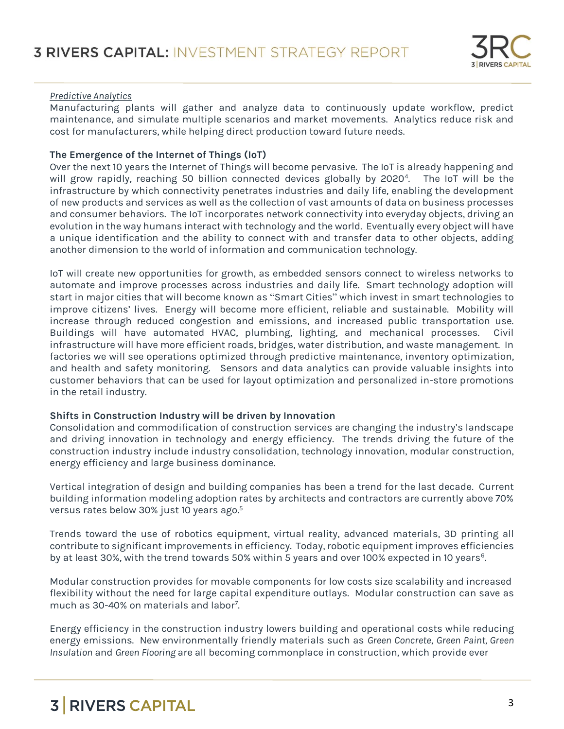#### *Predictive Analytics*

Manufacturing plants will gather and analyze data to continuously update workflow, predict maintenance, and simulate multiple scenarios and market movements. Analytics reduce risk and cost for manufacturers, while helping direct production toward future needs.

#### **The Emergence of the Internet of Things (IoT)**

Over the next 10 years the Internet of Things will become pervasive. The IoT is already happening and will grow rapidly, reaching 50 billion connected devices globally by 2020<sup>4</sup> . The IoT will be the infrastructure by which connectivity penetrates industries and daily life, enabling the development of new products and services as well as the collection of vast amounts of data on business processes and consumer behaviors. The IoT incorporates network connectivity into everyday objects, driving an evolution in the way humans interact with technology and the world. Eventually every object will have a unique identification and the ability to connect with and transfer data to other objects, adding another dimension to the world of information and communication technology.

IoT will create new opportunities for growth, as embedded sensors connect to wireless networks to automate and improve processes across industries and daily life. Smart technology adoption will start in major cities that will become known as "Smart Cities" which invest in smart technologies to improve citizens' lives. Energy will become more efficient, reliable and sustainable. Mobility will increase through reduced congestion and emissions, and increased public transportation use. Buildings will have automated HVAC, plumbing, lighting, and mechanical processes. Civil infrastructure will have more efficient roads, bridges, water distribution, and waste management. In factories we will see operations optimized through predictive maintenance, inventory optimization, and health and safety monitoring. Sensors and data analytics can provide valuable insights into customer behaviors that can be used for layout optimization and personalized in-store promotions in the retail industry.

#### **Shifts in Construction Industry will be driven by Innovation**

Consolidation and commodification of construction services are changing the industry's landscape and driving innovation in technology and energy efficiency. The trends driving the future of the construction industry include industry consolidation, technology innovation, modular construction, energy efficiency and large business dominance.

Vertical integration of design and building companies has been a trend for the last decade. Current building information modeling adoption rates by architects and contractors are currently above 70% versus rates below 30% just 10 years ago. 5

Trends toward the use of robotics equipment, virtual reality, advanced materials, 3D printing all contribute to significant improvements in efficiency. Today, robotic equipment improves efficiencies by at least 30%, with the trend towards 50% within 5 years and over 100% expected in 10 years<sup>6</sup>.

Modular construction provides for movable components for low costs size scalability and increased flexibility without the need for large capital expenditure outlays. Modular construction can save as much as 30-40% on materials and labor<sup>7</sup> .

Energy efficiency in the construction industry lowers building and operational costs while reducing energy emissions. New environmentally friendly materials such as *Green Concrete*, *Green Paint, Green Insulation* and *Green Flooring* are all becoming commonplace in construction, which provide ever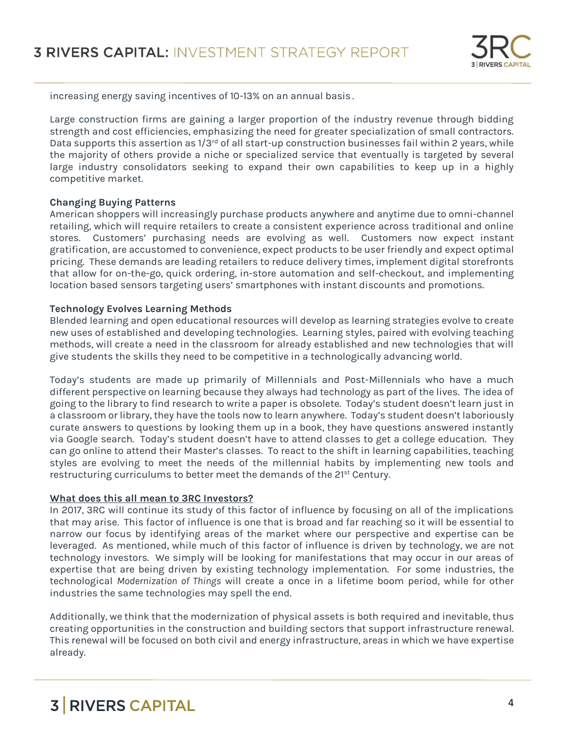

increasing energy saving incentives of 10-13% on an annual basis .

Large construction firms are gaining a larger proportion of the industry revenue through bidding strength and cost efficiencies, emphasizing the need for greater specialization of small contractors. Data supports this assertion as  $1/3^{rd}$  of all start-up construction businesses fail within 2 years, while the majority of others provide a niche or specialized service that eventually is targeted by several large industry consolidators seeking to expand their own capabilities to keep up in a highly competitive market.

#### **Changing Buying Patterns**

American shoppers will increasingly purchase products anywhere and anytime due to omni-channel retailing, which will require retailers to create a consistent experience across traditional and online stores. Customers' purchasing needs are evolving as well. Customers now expect instant gratification, are accustomed to convenience, expect products to be user friendly and expect optimal pricing. These demands are leading retailers to reduce delivery times, implement digital storefronts that allow for on-the-go, quick ordering, in-store automation and self-checkout, and implementing location based sensors targeting users' smartphones with instant discounts and promotions.

#### **Technology Evolves Learning Methods**

Blended learning and open educational resources will develop as learning strategies evolve to create new uses of established and developing technologies. Learning styles, paired with evolving teaching methods, will create a need in the classroom for already established and new technologies that will give students the skills they need to be competitive in a technologically advancing world.

Today's students are made up primarily of Millennials and Post-Millennials who have a much different perspective on learning because they always had technology as part of the lives. The idea of going to the library to find research to write a paper is obsolete. Today's student doesn't learn just in a classroom or library, they have the tools now to learn anywhere. Today's student doesn't laboriously curate answers to questions by looking them up in a book, they have questions answered instantly via Google search. Today's student doesn't have to attend classes to get a college education. They can go online to attend their Master's classes. To react to the shift in learning capabilities, teaching styles are evolving to meet the needs of the millennial habits by implementing new tools and restructuring curriculums to better meet the demands of the 21<sup>st</sup> Century.

#### **What does this all mean to 3RC Investors?**

In 2017, 3RC will continue its study of this factor of influence by focusing on all of the implications that may arise. This factor of influence is one that is broad and far reaching so it will be essential to narrow our focus by identifying areas of the market where our perspective and expertise can be leveraged. As mentioned, while much of this factor of influence is driven by technology, we are not technology investors. We simply will be looking for manifestations that may occur in our areas of expertise that are being driven by existing technology implementation. For some industries, the technological *Modernization of Things* will create a once in a lifetime boom period, while for other industries the same technologies may spell the end.

Additionally, we think that the modernization of physical assets is both required and inevitable, thus creating opportunities in the construction and building sectors that support infrastructure renewal. This renewal will be focused on both civil and energy infrastructure, areas in which we have expertise already.